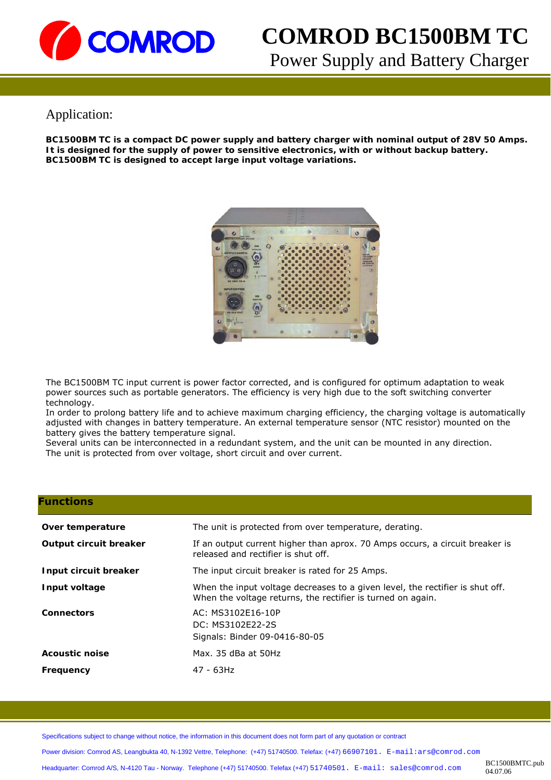

# **COMROD BC1500BM TC**  Power Supply and Battery Charger

## Application:

**BC1500BM TC is a compact DC power supply and battery charger with nominal output of 28V 50 Amps. It is designed for the supply of power to sensitive electronics, with or without backup battery. BC1500BM TC is designed to accept large input voltage variations.** 



The BC1500BM TC input current is power factor corrected, and is configured for optimum adaptation to weak power sources such as portable generators. The efficiency is very high due to the soft switching converter technology.

In order to prolong battery life and to achieve maximum charging efficiency, the charging voltage is automatically adjusted with changes in battery temperature. An external temperature sensor (NTC resistor) mounted on the battery gives the battery temperature signal.

Several units can be interconnected in a redundant system, and the unit can be mounted in any direction. The unit is protected from over voltage, short circuit and over current.

#### **Functions**

| Over temperature<br>Output circuit breaker | The unit is protected from over temperature, derating.<br>If an output current higher than aprox. 70 Amps occurs, a circuit breaker is<br>released and rectifier is shut off.<br>The input circuit breaker is rated for 25 Amps. |  |
|--------------------------------------------|----------------------------------------------------------------------------------------------------------------------------------------------------------------------------------------------------------------------------------|--|
|                                            |                                                                                                                                                                                                                                  |  |
| Input circuit breaker                      |                                                                                                                                                                                                                                  |  |
| Input voltage                              | When the input voltage decreases to a given level, the rectifier is shut off.<br>When the voltage returns, the rectifier is turned on again.                                                                                     |  |
| <b>Connectors</b>                          | AC: MS3102E16-10P<br>DC: MS3102E22-2S<br>Signals: Binder 09-0416-80-05                                                                                                                                                           |  |
| <b>Acoustic noise</b>                      | Max. 35 dBa at 50Hz                                                                                                                                                                                                              |  |
| Frequency                                  | 47 - 63Hz                                                                                                                                                                                                                        |  |

Specifications subject to change without notice, the information in this document does not form part of any quotation or contract

Power division: Comrod AS, Leangbukta 40, N-1392 Vettre, Telephone: (+47) 51740500. Telefax: (+47) 66907101. E-mail:ars@comrod.com

Headquarter: Comrod A/S, N-4120 Tau - Norway. Telephone (+47) 51740500. Telefax (+47) 51740501. E-mail: sales@comrod.com